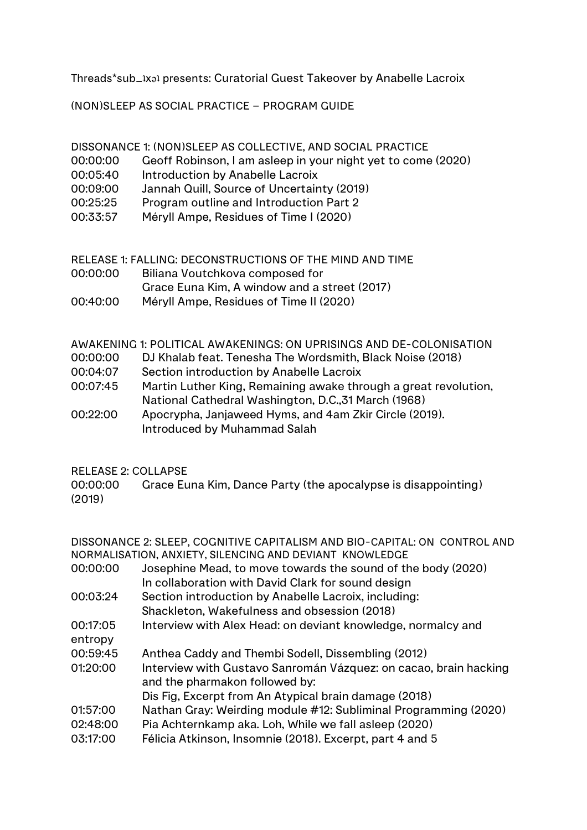Threads\*sub\_1xa1 presents: Curatorial Guest Takeover by Anabelle Lacroix

(NON)SLEEP AS SOCIAL PRACTICE – PROGRAM GUIDE

DISSONANCE 1: (NON)SLEEP AS COLLECTIVE, AND SOCIAL PRACTICE

- 00:00:00 Geoff Robinson, I am asleep in your night yet to come (2020)
- 00:05:40 Introduction by Anabelle Lacroix
- 00:09:00 Jannah Quill, Source of Uncertainty (2019)
- 00:25:25 Program outline and Introduction Part 2
- 00:33:57 Méryll Ampe, Residues of Time I (2020)

## RELEASE 1: FALLING: DECONSTRUCTIONS OF THE MIND AND TIME

- 00:00:00 Biliana Voutchkova composed for
- Grace Euna Kim, A window and a street (2017)
- 00:40:00 Méryll Ampe, Residues of Time II (2020)

## AWAKENING 1: POLITICAL AWAKENINGS: ON UPRISINGS AND DE-COLONISATION

- 00:00:00 DJ Khalab feat. Tenesha The Wordsmith, Black Noise (2018)
- 00:04:07 Section introduction by Anabelle Lacroix
- 00:07:45 Martin Luther King, Remaining awake through a great revolution, National Cathedral Washington, D.C.,31 March (1968)
- 00:22:00 Apocrypha, Janjaweed Hyms, and 4am Zkir Circle (2019). Introduced by Muhammad Salah

## RELEASE 2: COLLAPSE

00:00:00 Grace Euna Kim, Dance Party (the apocalypse is disappointing) (2019)

DISSONANCE 2: SLEEP, COGNITIVE CAPITALISM AND BIO-CAPITAL: ON CONTROL AND NORMALISATION, ANXIETY, SILENCING AND DEVIANT KNOWLEDGE

- 00:00:00 Josephine Mead, to move towards the sound of the body (2020) In collaboration with David Clark for sound design
- 00:03:24 Section introduction by Anabelle Lacroix, including: Shackleton, Wakefulness and obsession (2018)
- 00:17:05 Interview with Alex Head: on deviant knowledge, normalcy and entropy
- 00:59:45 Anthea Caddy and Thembi Sodell, Dissembling (2012)
- 01:20:00 Interview with Gustavo Sanromán Vázquez: on cacao, brain hacking and the pharmakon followed by:

Dis Fig, Excerpt from An Atypical brain damage (2018)

- 01:57:00 Nathan Gray: Weirding module #12: Subliminal Programming (2020)
- 02:48:00 Pia Achternkamp aka. Loh, While we fall asleep (2020)
- 03:17:00 Félicia Atkinson, Insomnie (2018). Excerpt, part 4 and 5